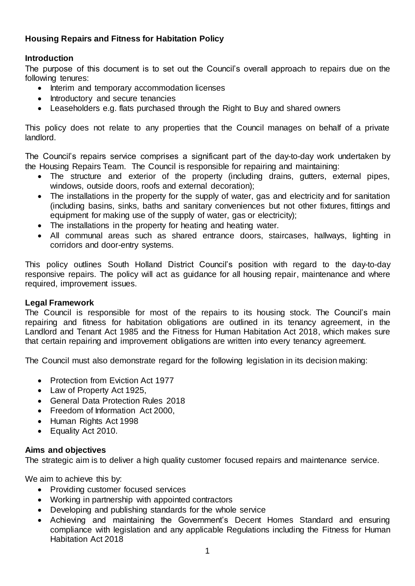# **Housing Repairs and Fitness for Habitation Policy**

## **Introduction**

The purpose of this document is to set out the Council's overall approach to repairs due on the following tenures:

- Interim and temporary accommodation licenses
- Introductory and secure tenancies
- Leaseholders e.g. flats purchased through the Right to Buy and shared owners

This policy does not relate to any properties that the Council manages on behalf of a private landlord.

The Council's repairs service comprises a significant part of the day-to-day work undertaken by the Housing Repairs Team. The Council is responsible for repairing and maintaining:

- The structure and exterior of the property (including drains, gutters, external pipes, windows, outside doors, roofs and external decoration);
- The installations in the property for the supply of water, gas and electricity and for sanitation (including basins, sinks, baths and sanitary conveniences but not other fixtures, fittings and equipment for making use of the supply of water, gas or electricity);
- The installations in the property for heating and heating water.
- All communal areas such as shared entrance doors, staircases, hallways, lighting in corridors and door-entry systems.

This policy outlines South Holland District Council's position with regard to the day-to-day responsive repairs. The policy will act as guidance for all housing repair, maintenance and where required, improvement issues.

### **Legal Framework**

The Council is responsible for most of the repairs to its housing stock. The Council's main repairing and fitness for habitation obligations are outlined in its tenancy agreement, in the Landlord and Tenant Act 1985 and the Fitness for Human Habitation Act 2018, which makes sure that certain repairing and improvement obligations are written into every tenancy agreement.

The Council must also demonstrate regard for the following legislation in its decision making:

- Protection from Eviction Act 1977
- Law of Property Act 1925,
- General Data Protection Rules 2018
- Freedom of Information Act 2000,
- Human Rights Act 1998
- Equality Act 2010.

### **Aims and objectives**

The strategic aim is to deliver a high quality customer focused repairs and maintenance service.

We aim to achieve this by:

- Providing customer focused services
- Working in partnership with appointed contractors
- Developing and publishing standards for the whole service
- Achieving and maintaining the Government's Decent Homes Standard and ensuring compliance with legislation and any applicable Regulations including the Fitness for Human Habitation Act 2018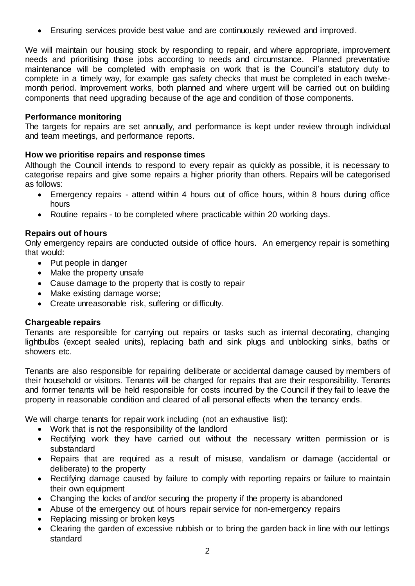Ensuring services provide best value and are continuously reviewed and improved.

We will maintain our housing stock by responding to repair, and where appropriate, improvement needs and prioritising those jobs according to needs and circumstance. Planned preventative maintenance will be completed with emphasis on work that is the Council's statutory duty to complete in a timely way, for example gas safety checks that must be completed in each twelvemonth period. Improvement works, both planned and where urgent will be carried out on building components that need upgrading because of the age and condition of those components.

### **Performance monitoring**

The targets for repairs are set annually, and performance is kept under review through individual and team meetings, and performance reports.

### **How we prioritise repairs and response times**

Although the Council intends to respond to every repair as quickly as possible, it is necessary to categorise repairs and give some repairs a higher priority than others. Repairs will be categorised as follows:

- Emergency repairs attend within 4 hours out of office hours, within 8 hours during office hours
- Routine repairs to be completed where practicable within 20 working days.

### **Repairs out of hours**

Only emergency repairs are conducted outside of office hours. An emergency repair is something that would:

- Put people in danger
- Make the property unsafe
- Cause damage to the property that is costly to repair
- Make existing damage worse;
- Create unreasonable risk, suffering or difficulty.

### **Chargeable repairs**

Tenants are responsible for carrying out repairs or tasks such as internal decorating, changing lightbulbs (except sealed units), replacing bath and sink plugs and unblocking sinks, baths or showers etc.

Tenants are also responsible for repairing deliberate or accidental damage caused by members of their household or visitors. Tenants will be charged for repairs that are their responsibility. Tenants and former tenants will be held responsible for costs incurred by the Council if they fail to leave the property in reasonable condition and cleared of all personal effects when the tenancy ends.

We will charge tenants for repair work including (not an exhaustive list):

- Work that is not the responsibility of the landlord
- Rectifying work they have carried out without the necessary written permission or is substandard
- Repairs that are required as a result of misuse, vandalism or damage (accidental or deliberate) to the property
- Rectifying damage caused by failure to comply with reporting repairs or failure to maintain their own equipment
- Changing the locks of and/or securing the property if the property is abandoned
- Abuse of the emergency out of hours repair service for non-emergency repairs
- Replacing missing or broken keys
- Clearing the garden of excessive rubbish or to bring the garden back in line with our lettings standard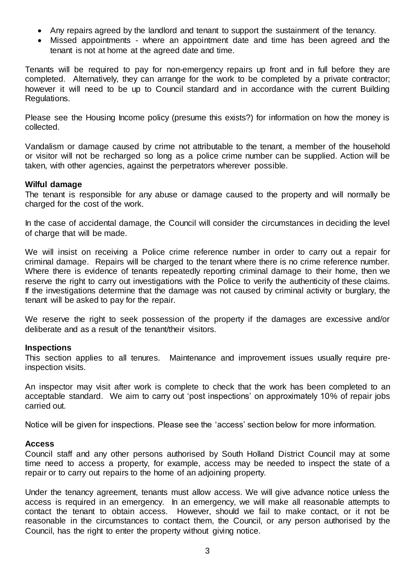- Any repairs agreed by the landlord and tenant to support the sustainment of the tenancy.
- Missed appointments where an appointment date and time has been agreed and the tenant is not at home at the agreed date and time.

Tenants will be required to pay for non-emergency repairs up front and in full before they are completed. Alternatively, they can arrange for the work to be completed by a private contractor; however it will need to be up to Council standard and in accordance with the current Building Regulations.

Please see the Housing Income policy (presume this exists?) for information on how the money is collected.

Vandalism or damage caused by crime not attributable to the tenant, a member of the household or visitor will not be recharged so long as a police crime number can be supplied. Action will be taken, with other agencies, against the perpetrators wherever possible.

#### **Wilful damage**

The tenant is responsible for any abuse or damage caused to the property and will normally be charged for the cost of the work.

In the case of accidental damage, the Council will consider the circumstances in deciding the level of charge that will be made.

We will insist on receiving a Police crime reference number in order to carry out a repair for criminal damage. Repairs will be charged to the tenant where there is no crime reference number. Where there is evidence of tenants repeatedly reporting criminal damage to their home, then we reserve the right to carry out investigations with the Police to verify the authenticity of these claims. If the investigations determine that the damage was not caused by criminal activity or burglary, the tenant will be asked to pay for the repair.

We reserve the right to seek possession of the property if the damages are excessive and/or deliberate and as a result of the tenant/their visitors.

### **Inspections**

This section applies to all tenures. Maintenance and improvement issues usually require preinspection visits.

An inspector may visit after work is complete to check that the work has been completed to an acceptable standard. We aim to carry out 'post inspections' on approximately 10% of repair jobs carried out.

Notice will be given for inspections. Please see the 'access' section below for more information.

### **Access**

Council staff and any other persons authorised by South Holland District Council may at some time need to access a property, for example, access may be needed to inspect the state of a repair or to carry out repairs to the home of an adjoining property.

Under the tenancy agreement, tenants must allow access. We will give advance notice unless the access is required in an emergency. In an emergency, we will make all reasonable attempts to contact the tenant to obtain access. However, should we fail to make contact, or it not be reasonable in the circumstances to contact them, the Council, or any person authorised by the Council, has the right to enter the property without giving notice.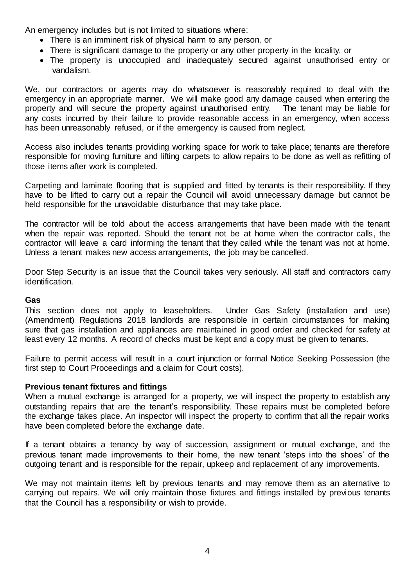An emergency includes but is not limited to situations where:

- There is an imminent risk of physical harm to any person, or
- There is significant damage to the property or any other property in the locality, or
- The property is unoccupied and inadequately secured against unauthorised entry or vandalism.

We, our contractors or agents may do whatsoever is reasonably required to deal with the emergency in an appropriate manner. We will make good any damage caused when entering the property and will secure the property against unauthorised entry. The tenant may be liable for any costs incurred by their failure to provide reasonable access in an emergency, when access has been unreasonably refused, or if the emergency is caused from neglect.

Access also includes tenants providing working space for work to take place; tenants are therefore responsible for moving furniture and lifting carpets to allow repairs to be done as well as refitting of those items after work is completed.

Carpeting and laminate flooring that is supplied and fitted by tenants is their responsibility. If they have to be lifted to carry out a repair the Council will avoid unnecessary damage but cannot be held responsible for the unavoidable disturbance that may take place.

The contractor will be told about the access arrangements that have been made with the tenant when the repair was reported. Should the tenant not be at home when the contractor calls, the contractor will leave a card informing the tenant that they called while the tenant was not at home. Unless a tenant makes new access arrangements, the job may be cancelled.

Door Step Security is an issue that the Council takes very seriously. All staff and contractors carry identification.

### **Gas**

This section does not apply to leaseholders. Under Gas Safety (installation and use) (Amendment) Regulations 2018 landlords are responsible in certain circumstances for making sure that gas installation and appliances are maintained in good order and checked for safety at least every 12 months. A record of checks must be kept and a copy must be given to tenants.

Failure to permit access will result in a court injunction or formal Notice Seeking Possession (the first step to Court Proceedings and a claim for Court costs).

### **Previous tenant fixtures and fittings**

When a mutual exchange is arranged for a property, we will inspect the property to establish any outstanding repairs that are the tenant's responsibility. These repairs must be completed before the exchange takes place. An inspector will inspect the property to confirm that all the repair works have been completed before the exchange date.

If a tenant obtains a tenancy by way of succession, assignment or mutual exchange, and the previous tenant made improvements to their home, the new tenant 'steps into the shoes' of the outgoing tenant and is responsible for the repair, upkeep and replacement of any improvements.

We may not maintain items left by previous tenants and may remove them as an alternative to carrying out repairs. We will only maintain those fixtures and fittings installed by previous tenants that the Council has a responsibility or wish to provide.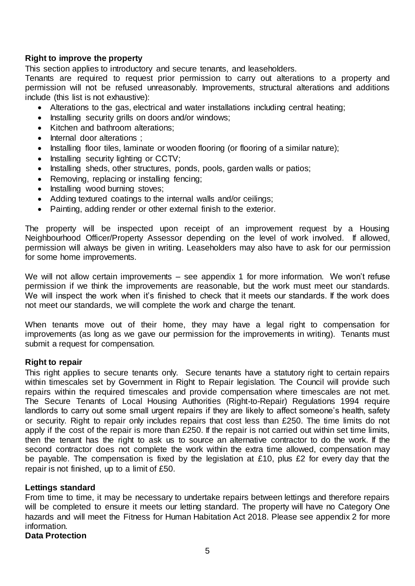## **Right to improve the property**

This section applies to introductory and secure tenants, and leaseholders.

Tenants are required to request prior permission to carry out alterations to a property and permission will not be refused unreasonably. Improvements, structural alterations and additions include (this list is not exhaustive):

- Alterations to the gas, electrical and water installations including central heating;
- Installing security grills on doors and/or windows;
- Kitchen and bathroom alterations:
- Internal door alterations :
- Installing floor tiles, laminate or wooden flooring (or flooring of a similar nature);
- Installing security lighting or CCTV;
- Installing sheds, other structures, ponds, pools, garden walls or patios;
- Removing, replacing or installing fencing;
- Installing wood burning stoves;
- Adding textured coatings to the internal walls and/or ceilings;
- Painting, adding render or other external finish to the exterior.

The property will be inspected upon receipt of an improvement request by a Housing Neighbourhood Officer/Property Assessor depending on the level of work involved. If allowed, permission will always be given in writing. Leaseholders may also have to ask for our permission for some home improvements.

We will not allow certain improvements – see appendix 1 for more information. We won't refuse permission if we think the improvements are reasonable, but the work must meet our standards. We will inspect the work when it's finished to check that it meets our standards. If the work does not meet our standards, we will complete the work and charge the tenant.

When tenants move out of their home, they may have a legal right to compensation for improvements (as long as we gave our permission for the improvements in writing). Tenants must submit a request for compensation.

### **Right to repair**

This right applies to secure tenants only. Secure tenants have a statutory right to certain repairs within timescales set by Government in Right to Repair legislation. The Council will provide such repairs within the required timescales and provide compensation where timescales are not met. The Secure Tenants of Local Housing Authorities (Right-to-Repair) Regulations 1994 require landlords to carry out some small urgent repairs if they are likely to affect someone's health, safety or security. Right to repair only includes repairs that cost less than £250. The time limits do not apply if the cost of the repair is more than £250. If the repair is not carried out within set time limits, then the tenant has the right to ask us to source an alternative contractor to do the work. If the second contractor does not complete the work within the extra time allowed, compensation may be payable. The compensation is fixed by the legislation at £10, plus £2 for every day that the repair is not finished, up to a limit of £50.

### **Lettings standard**

From time to time, it may be necessary to undertake repairs between lettings and therefore repairs will be completed to ensure it meets our letting standard. The property will have no Category One hazards and will meet the Fitness for Human Habitation Act 2018. Please see appendix 2 for more information.

**Data Protection**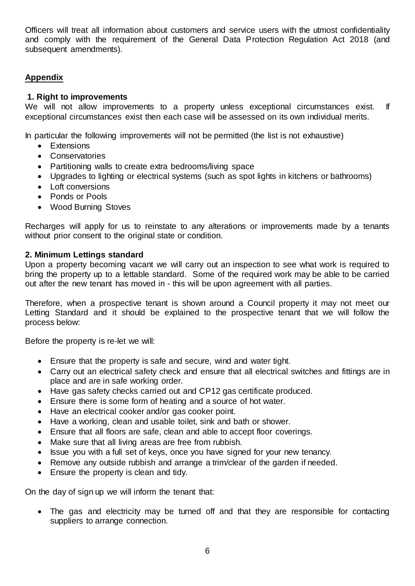Officers will treat all information about customers and service users with the utmost confidentiality and comply with the requirement of the General Data Protection Regulation Act 2018 (and subsequent amendments).

# **Appendix**

## **1. Right to improvements**

We will not allow improvements to a property unless exceptional circumstances exist. If exceptional circumstances exist then each case will be assessed on its own individual merits.

In particular the following improvements will not be permitted (the list is not exhaustive)

- Extensions
- Conservatories
- Partitioning walls to create extra bedrooms/living space
- Upgrades to lighting or electrical systems (such as spot lights in kitchens or bathrooms)
- Loft conversions
- Ponds or Pools
- Wood Burning Stoves

Recharges will apply for us to reinstate to any alterations or improvements made by a tenants without prior consent to the original state or condition.

### **2. Minimum Lettings standard**

Upon a property becoming vacant we will carry out an inspection to see what work is required to bring the property up to a lettable standard. Some of the required work may be able to be carried out after the new tenant has moved in - this will be upon agreement with all parties.

Therefore, when a prospective tenant is shown around a Council property it may not meet our Letting Standard and it should be explained to the prospective tenant that we will follow the process below:

Before the property is re-let we will:

- Ensure that the property is safe and secure, wind and water tight.
- Carry out an electrical safety check and ensure that all electrical switches and fittings are in place and are in safe working order.
- Have gas safety checks carried out and CP12 gas certificate produced.
- Ensure there is some form of heating and a source of hot water.
- Have an electrical cooker and/or gas cooker point.
- Have a working, clean and usable toilet, sink and bath or shower.
- Ensure that all floors are safe, clean and able to accept floor coverings.
- Make sure that all living areas are free from rubbish.
- Issue you with a full set of keys, once you have signed for your new tenancy.
- Remove any outside rubbish and arrange a trim/clear of the garden if needed.
- Ensure the property is clean and tidy.

On the day of sign up we will inform the tenant that:

• The gas and electricity may be turned off and that they are responsible for contacting suppliers to arrange connection.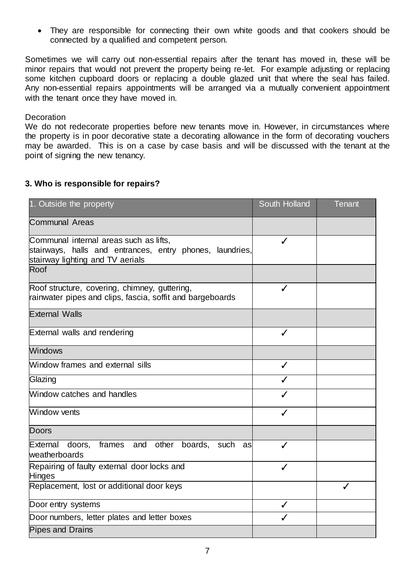• They are responsible for connecting their own white goods and that cookers should be connected by a qualified and competent person.

Sometimes we will carry out non-essential repairs after the tenant has moved in, these will be minor repairs that would not prevent the property being re-let. For example adjusting or replacing some kitchen cupboard doors or replacing a double glazed unit that where the seal has failed. Any non-essential repairs appointments will be arranged via a mutually convenient appointment with the tenant once they have moved in.

#### **Decoration**

We do not redecorate properties before new tenants move in. However, in circumstances where the property is in poor decorative state a decorating allowance in the form of decorating vouchers may be awarded. This is on a case by case basis and will be discussed with the tenant at the point of signing the new tenancy.

### **3. Who is responsible for repairs?**

| 1. Outside the property                                                                                                                | South Holland | <b>Tenant</b> |
|----------------------------------------------------------------------------------------------------------------------------------------|---------------|---------------|
| <b>Communal Areas</b>                                                                                                                  |               |               |
| Communal internal areas such as lifts,<br>stairways, halls and entrances, entry phones, laundries,<br>stairway lighting and TV aerials | ✓             |               |
| Roof                                                                                                                                   |               |               |
| Roof structure, covering, chimney, guttering,<br>rainwater pipes and clips, fascia, soffit and bargeboards                             |               |               |
| <b>External Walls</b>                                                                                                                  |               |               |
| External walls and rendering                                                                                                           | ✓             |               |
| <b>Windows</b>                                                                                                                         |               |               |
| Window frames and external sills                                                                                                       | ✓             |               |
| Glazing                                                                                                                                |               |               |
| Window catches and handles                                                                                                             |               |               |
| Window vents                                                                                                                           | ✓             |               |
| <b>Doors</b>                                                                                                                           |               |               |
| frames and other boards, such<br>External<br>doors.<br>asl<br>weatherboards                                                            | ✓             |               |
| Repairing of faulty external door locks and<br><b>Hinges</b>                                                                           | J             |               |
| Replacement, lost or additional door keys                                                                                              |               | ✓             |
| Door entry systems                                                                                                                     |               |               |
| Door numbers, letter plates and letter boxes                                                                                           |               |               |
| <b>Pipes and Drains</b>                                                                                                                |               |               |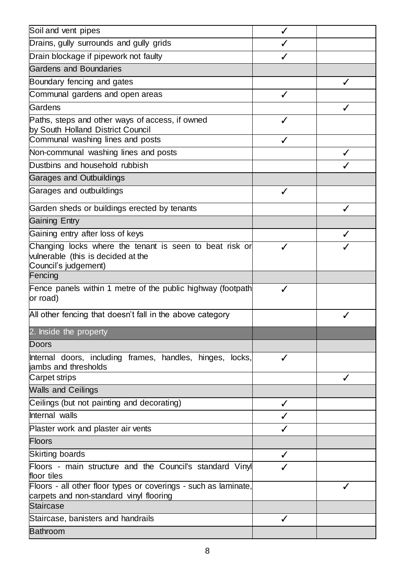| Soil and vent pipes                                                                                                     | ✓ |   |
|-------------------------------------------------------------------------------------------------------------------------|---|---|
| Drains, gully surrounds and gully grids                                                                                 |   |   |
| Drain blockage if pipework not faulty                                                                                   |   |   |
| <b>Gardens and Boundaries</b>                                                                                           |   |   |
| Boundary fencing and gates                                                                                              |   |   |
| Communal gardens and open areas                                                                                         |   |   |
| Gardens                                                                                                                 |   | ✓ |
| Paths, steps and other ways of access, if owned<br>by South Holland District Council                                    |   |   |
| Communal washing lines and posts                                                                                        |   |   |
| Non-communal washing lines and posts                                                                                    |   |   |
| Dustbins and household rubbish                                                                                          |   |   |
| <b>Garages and Outbuildings</b>                                                                                         |   |   |
| Garages and outbuildings                                                                                                |   |   |
| Garden sheds or buildings erected by tenants                                                                            |   | ✓ |
| <b>Gaining Entry</b>                                                                                                    |   |   |
| Gaining entry after loss of keys                                                                                        |   | ✔ |
| Changing locks where the tenant is seen to beat risk or<br>vulnerable (this is decided at the<br>Council's judgement)   |   |   |
| Fencing                                                                                                                 |   |   |
| Fence panels within 1 metre of the public highway (footpath<br>or road)                                                 |   |   |
| All other fencing that doesn't fall in the above category                                                               |   | ✓ |
| 2. Inside the property                                                                                                  |   |   |
| Doors                                                                                                                   |   |   |
| Internal doors, including frames, handles, hinges,<br>locks,<br>jambs and thresholds                                    | ✓ |   |
| <b>Carpet strips</b>                                                                                                    |   | ✓ |
| <b>Walls and Ceilings</b>                                                                                               |   |   |
| Ceilings (but not painting and decorating)                                                                              |   |   |
| Internal walls                                                                                                          |   |   |
| Plaster work and plaster air vents                                                                                      |   |   |
| Floors                                                                                                                  |   |   |
| Skirting boards                                                                                                         | ✓ |   |
| Floors - main structure and the Council's standard Vinyl<br>floor tiles                                                 |   |   |
| Floors - all other floor types or coverings - such as laminate,<br>carpets and non-standard vinyl flooring<br>Staircase |   |   |
| Staircase, banisters and handrails                                                                                      | ✓ |   |
| <b>Bathroom</b>                                                                                                         |   |   |
|                                                                                                                         |   |   |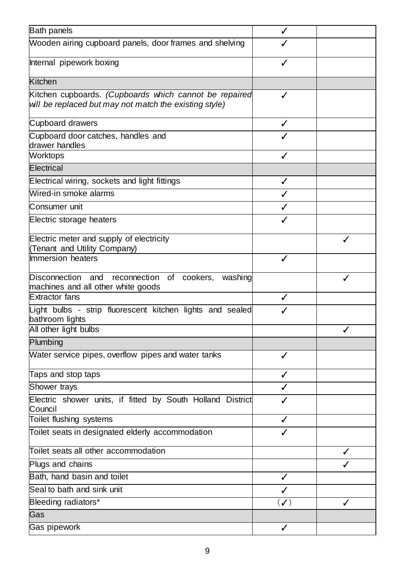| <b>Bath panels</b>                                                                                               |                     |   |
|------------------------------------------------------------------------------------------------------------------|---------------------|---|
| Wooden airing cupboard panels, door frames and shelving                                                          |                     |   |
| Internal pipework boxing                                                                                         |                     |   |
| <b>Kitchen</b>                                                                                                   |                     |   |
| Kitchen cupboards. (Cupboards which cannot be repaired<br>will be replaced but may not match the existing style) |                     |   |
| Cupboard drawers                                                                                                 |                     |   |
| Cupboard door catches, handles and<br>drawer handles                                                             |                     |   |
| Worktops                                                                                                         |                     |   |
| Electrical                                                                                                       |                     |   |
| Electrical wiring, sockets and light fittings                                                                    | ✓                   |   |
| Wired-in smoke alarms                                                                                            |                     |   |
| Consumer unit                                                                                                    |                     |   |
| Electric storage heaters                                                                                         |                     |   |
| Electric meter and supply of electricity<br>(Tenant and Utility Company)                                         |                     | ✓ |
| Immersion heaters                                                                                                | J                   |   |
| Disconnection and<br>reconnection<br>of cookers,<br>washing<br>machines and all other white goods                |                     |   |
| <b>Extractor fans</b>                                                                                            |                     |   |
| Light bulbs - strip fluorescent kitchen lights and sealed<br>bathroom lights                                     |                     |   |
| All other light bulbs                                                                                            |                     |   |
| Plumbing                                                                                                         |                     |   |
| Water service pipes, overflow pipes and water tanks                                                              | ✓                   |   |
| Taps and stop taps                                                                                               |                     |   |
| Shower trays                                                                                                     |                     |   |
| Electric shower units, if fitted by South Holland District<br>Council                                            |                     |   |
| Toilet flushing systems                                                                                          | ✓                   |   |
| Toilet seats in designated elderly accommodation                                                                 |                     |   |
| Toilet seats all other accommodation                                                                             |                     |   |
| Plugs and chains                                                                                                 |                     |   |
| Bath, hand basin and toilet                                                                                      | ✓                   |   |
| Seal to bath and sink unit                                                                                       |                     |   |
| Bleeding radiators*                                                                                              | $(\curvearrowleft)$ | ✓ |
| Gas                                                                                                              |                     |   |
| Gas pipework                                                                                                     | ✓                   |   |